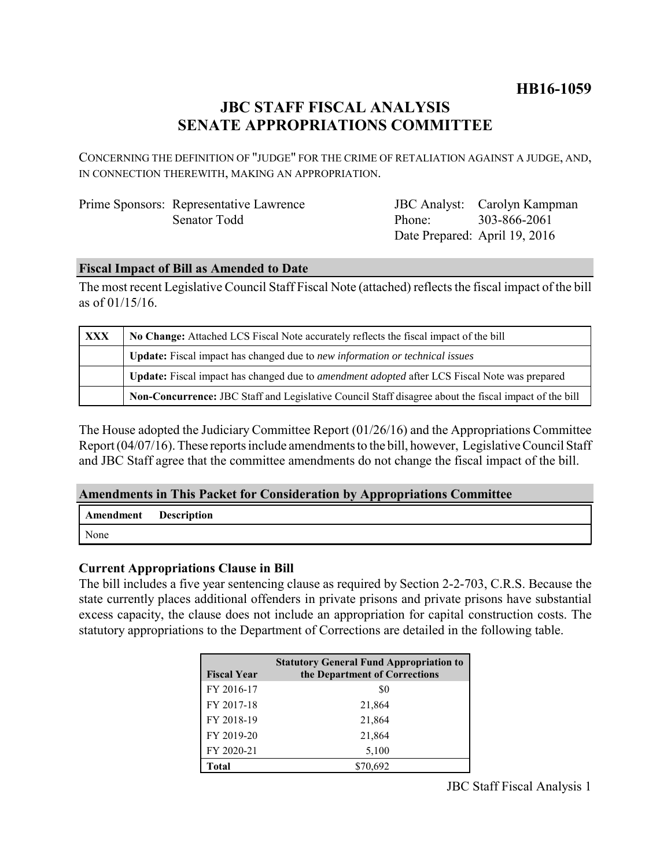## **HB16-1059**

# **JBC STAFF FISCAL ANALYSIS SENATE APPROPRIATIONS COMMITTEE**

CONCERNING THE DEFINITION OF "JUDGE" FOR THE CRIME OF RETALIATION AGAINST A JUDGE, AND, IN CONNECTION THEREWITH, MAKING AN APPROPRIATION.

Prime Sponsors: Representative Lawrence Senator Todd

JBC Analyst: Carolyn Kampman Phone: Date Prepared: April 19, 2016 303-866-2061

### **Fiscal Impact of Bill as Amended to Date**

The most recent Legislative Council Staff Fiscal Note (attached) reflects the fiscal impact of the bill as of 01/15/16.

| <b>XXX</b> | No Change: Attached LCS Fiscal Note accurately reflects the fiscal impact of the bill                 |  |
|------------|-------------------------------------------------------------------------------------------------------|--|
|            | Update: Fiscal impact has changed due to new information or technical issues                          |  |
|            | Update: Fiscal impact has changed due to <i>amendment adopted</i> after LCS Fiscal Note was prepared  |  |
|            | Non-Concurrence: JBC Staff and Legislative Council Staff disagree about the fiscal impact of the bill |  |

The House adopted the Judiciary Committee Report (01/26/16) and the Appropriations Committee Report (04/07/16). These reports include amendments to the bill, however, Legislative Council Staff and JBC Staff agree that the committee amendments do not change the fiscal impact of the bill.

#### **Amendments in This Packet for Consideration by Appropriations Committee**

| Amendment Description |  |
|-----------------------|--|
| None                  |  |

#### **Current Appropriations Clause in Bill**

The bill includes a five year sentencing clause as required by Section 2-2-703, C.R.S. Because the state currently places additional offenders in private prisons and private prisons have substantial excess capacity, the clause does not include an appropriation for capital construction costs. The statutory appropriations to the Department of Corrections are detailed in the following table.

| <b>Fiscal Year</b> | <b>Statutory General Fund Appropriation to</b><br>the Department of Corrections |
|--------------------|---------------------------------------------------------------------------------|
| FY 2016-17         | \$0                                                                             |
| FY 2017-18         | 21,864                                                                          |
| FY 2018-19         | 21,864                                                                          |
| FY 2019-20         | 21,864                                                                          |
| FY 2020-21         | 5,100                                                                           |
| <b>Total</b>       | \$70.692                                                                        |